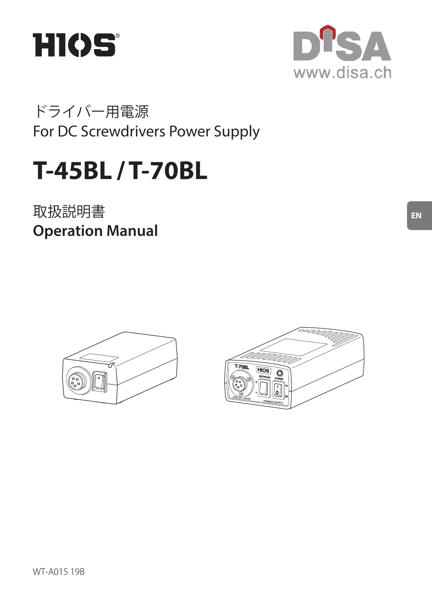



ドライバー用電源 For DC Screwdrivers Power Supply

# **T-45BL / T-70BL**

取扱説明書 **Operation Manual**





**EN**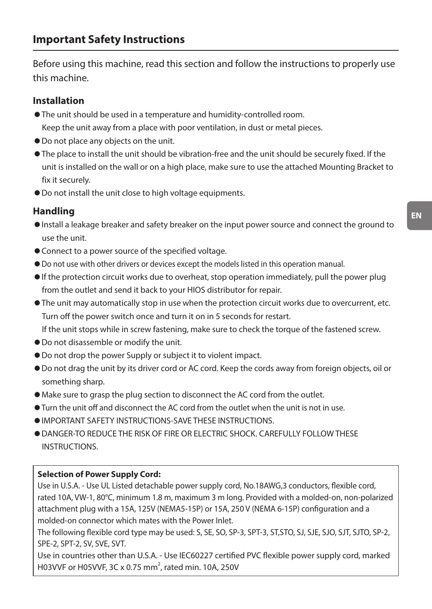Before using this machine, read this section and follow the instructions to properly use this machine.

#### **Installation**

- The unit should be used in a temperature and humidity-controlled room. Keep the unit away from a place with poor ventilation, in dust or metal pieces.
- ◦Do not place any objects on the unit.
- The place to install the unit should be vibration-free and the unit should be securely fixed. If the unit is installed on the wall or on a high place, make sure to use the attached Mounting Bracket to fix it securely.
- ◦Do not install the unit close to high voltage equipments.

#### **Handling**

- ◦Install a leakage breaker and safety breaker on the input power source and connect the ground to use the unit.
- Connect to a power source of the specified voltage.
- ◦Do not use with other drivers or devices except the models listed in this operation manual.
- If the protection circuit works due to overheat, stop operation immediately, pull the power plug from the outlet and send it back to your HIOS distributor for repair.
- The unit may automatically stop in use when the protection circuit works due to overcurrent, etc. Turn off the power switch once and turn it on in 5 seconds for restart.

If the unit stops while in screw fastening, make sure to check the torque of the fastened screw.

- ◦Do not disassemble or modify the unit.
- Do not drop the power Supply or subject it to violent impact.
- ◦Do not drag the unit by its driver cord or AC cord. Keep the cords away from foreign objects, oil or something sharp.
- ◦Make sure to grasp the plug section to disconnect the AC cord from the outlet.
- Turn the unit off and disconnect the AC cord from the outlet when the unit is not in use.
- ◦IMPORTANT SAFETY INSTRUCTIONS-SAVE THESE INSTRUCTIONS.
- ◦DANGER-TO REDUCE THE RISK OF FIRE OR ELECTRIC SHOCK. CAREFULLY FOLLOW THESE **INSTRUCTIONS**

#### **Selection of Power Supply Cord:**

Use in U.S.A. - Use UL Listed detachable power supply cord, No.18AWG,3 conductors, flexible cord, rated 10A, VW-1, 80°C, minimum 1.8 m, maximum 3 m long. Provided with a molded-on, non-polarized attachment plug with a 15A, 125V (NEMA5-15P) or 15A, 250 V (NEMA 6-15P) configuration and a molded-on connector which mates with the Power Inlet.

The following flexible cord type may be used: S, SE, SO, SP-3, SPT-3, ST,STO, SJ, SJE, SJO, SJT, SJTO, SP-2, SPE-2, SPT-2, SV, SVE, SVT.

Use in countries other than U.S.A. - Use IEC60227 certified PVC flexible power supply cord, marked H03VVF or H05VVF, 3C x 0.75 mm<sup>2</sup>, rated min. 10A, 250V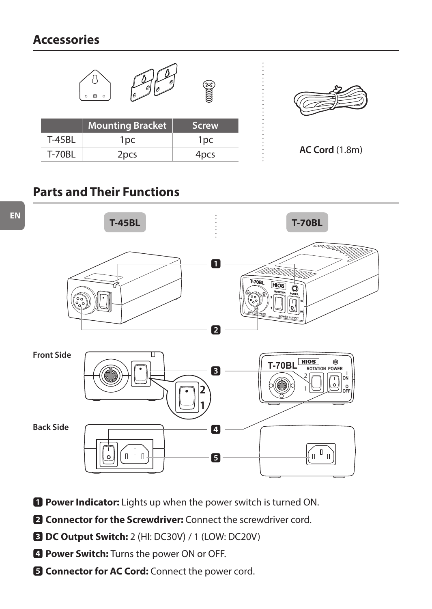## **Accessories**



## **Parts and Their Functions**



- **1** Power Indicator: Lights up when the power switch is turned ON.
- **2** Connector for the Screwdriver: Connect the screwdriver cord.
- 3 **DC Output Switch:** 2 (HI: DC30V)/ 1 (LOW: DC20V)
- 4 **Power Switch:** Turns the power ON or OFF.
- **E** Connector for AC Cord: Connect the power cord.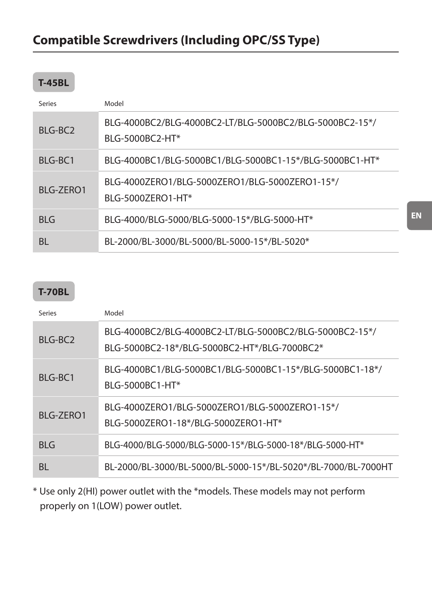### **T-45BL**

| Series           | Model                                                                      |  |
|------------------|----------------------------------------------------------------------------|--|
| $RI G-RC2$       | BLG-4000BC2/BLG-4000BC2-LT/BLG-5000BC2/BLG-5000BC2-15*/<br>BLG-5000BC2-HT* |  |
| BIG-BC1          | BLG-4000BC1/BLG-5000BC1/BLG-5000BC1-15*/BLG-5000BC1-HT*                    |  |
| <b>BIG-7FRO1</b> | BLG-4000ZERO1/BLG-5000ZERO1/BLG-5000ZERO1-15*/<br>BLG-50007FRO1-HT*        |  |
| RIG              | BLG-4000/BLG-5000/BLG-5000-15*/BLG-5000-HT*                                |  |
| BL               | BL-2000/BL-3000/BL-5000/BL-5000-15*/BL-5020*                               |  |

## **T-70BL**

| Series           | Model                                                                                                   |  |
|------------------|---------------------------------------------------------------------------------------------------------|--|
| $RI G-RC2$       | BLG-4000BC2/BLG-4000BC2-LT/BLG-5000BC2/BLG-5000BC2-15*/<br>BLG-5000BC2-18*/BLG-5000BC2-HT*/BLG-7000BC2* |  |
| BIG-BC1          | BLG-4000BC1/BLG-5000BC1/BLG-5000BC1-15*/BLG-5000BC1-18*/<br>BLG-5000BC1-HT*                             |  |
| <b>BIG-7FRO1</b> | BLG-4000ZERO1/BLG-5000ZERO1/BLG-5000ZERO1-15*/<br>BLG-5000ZERO1-18*/BLG-5000ZERO1-HT*                   |  |
| RIG              | BLG-4000/BLG-5000/BLG-5000-15*/BLG-5000-18*/BLG-5000-HT*                                                |  |
| BL               | BL-2000/BL-3000/BL-5000/BL-5000-15*/BL-5020*/BL-7000/BL-7000HT                                          |  |

\* Use only 2(HI) power outlet with the \*models. These models may not perform properly on 1(LOW) power outlet.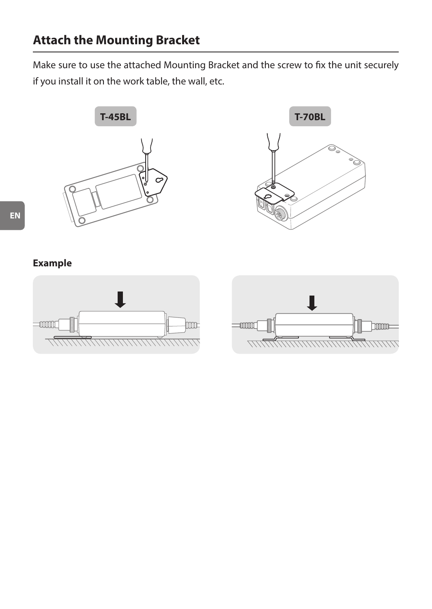## **Attach the Mounting Bracket**

Make sure to use the attached Mounting Bracket and the screw to fix the unit securely if you install it on the work table, the wall, etc.





**Example**